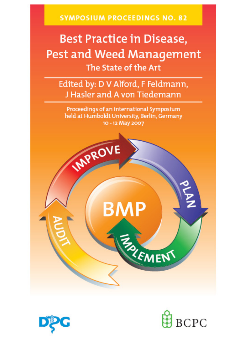**SYMPOSIUM PROCEEDINGS NO. 82** 

# **Best Practice in Disease,** Pest and Weed Management The State of the Art

Edited by: D V Alford, F Feldmann, J Hasler and A von Tiedemann

Proceedings of an international Symposium held at Humboldt University, Berlin, Germany 10 - 12 May 2007





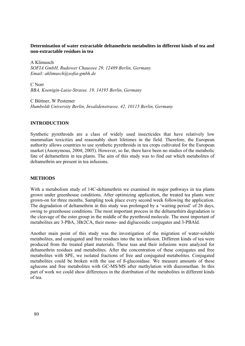## **Determination of water extractable deltamethrin metabolites in different kinds of tea and non-extractable residues in tea**

A Klimusch *SOFIA GmbH, Rudower Chaussee 29, 12489 Berlin, Germany Email: aklimusch@sofia-gmbh.de* 

C Norr *BBA, Koenigin-Luise-Strasse. 19, 14195 Berlin, Germany* 

C Büttner, W Pestemer *Humboldt University Berlin, Invalidenstrasse. 42, 10115 Berlin, Germany* 

## **INTRODUCTION**

Synthetic pyrethroids are a class of widely used insecticides that have relatively low mammalian toxicities and reasonably short lifetimes in the field. Therefore, the European authority allows countries to use synthetic pyrethroids in tea crops cultivated for the European market (Anonymous, 2004; 2005). However, so far, there have been no studies of the metabolic fate of deltamethrin in tea plants. The aim of this study was to find out which metabolites of deltamethrin are present in tea infusions.

#### **METHODS**

With a metabolism study of 14C-deltamethrin we examined its major pathways in tea plants grown under greenhouse conditions. After optimizing application, the treated tea plants were grown-on for three months. Sampling took place every second week following the application. The degradation of deltamethrin in this study was prolonged by a 'waiting period' of 26 days, owing to greenhouse conditions. The most important process in the deltamethirn degradation is the cleavage of the ester group in the middle of the pyrethroid molecule. The most important of metabolites are 3-PBA, 3Br2CA, their mono- and diglucosidic conjugates and 3-PBAld.

Another main point of this study was the investigation of the migration of water-soluble metabolites, and conjugated and free residues into the tea infusion. Different kinds of tea were produced from the treated plant materials. These teas and their infusions were analyzed for deltamethrin residues and metabolites. After the concentration of these conjugates and free metabolites with SPE, we isolated fractions of free and conjugated metabolites. Conjugated metabolites could be broken with the use of ß-glucosidase. We measure amounts of these aglucons and free metabolites with GC-MS/MS after methylation with diazomethan. In this part of work we could show differences in the distribution of the metabolites in different kinds of tea.